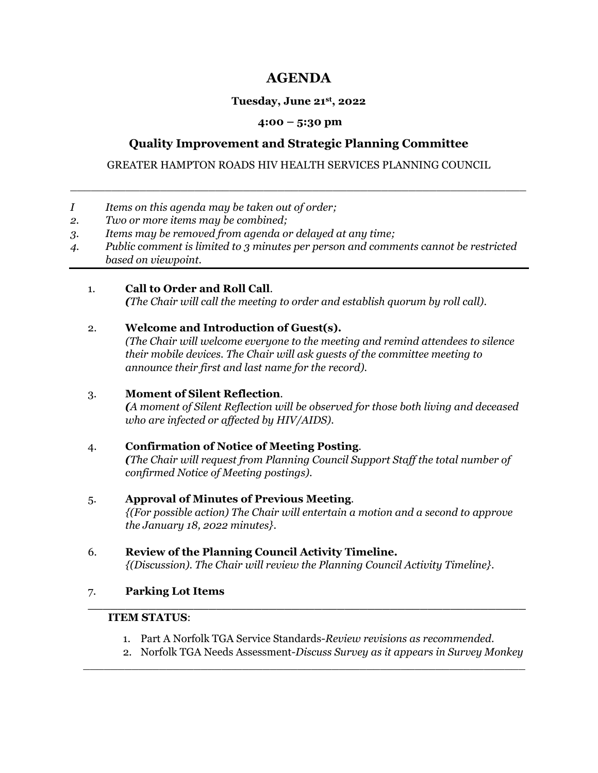# **AGENDA**

### **Tuesday, June 21st, 2022**

### **4:00 – 5:30 pm**

# **Quality Improvement and Strategic Planning Committee**

GREATER HAMPTON ROADS HIV HEALTH SERVICES PLANNING COUNCIL

 $\overline{\phantom{a}}$  , and the contract of the contract of the contract of the contract of the contract of the contract of the contract of the contract of the contract of the contract of the contract of the contract of the contrac

- *I Items on this agenda may be taken out of order;*
- *2. Two or more items may be combined;*
- *3. Items may be removed from agenda or delayed at any time;*
- *4. Public comment is limited to 3 minutes per person and comments cannot be restricted based on viewpoint.*

### 1. **Call to Order and Roll Call**.

*(The Chair will call the meeting to order and establish quorum by roll call)*.

### 2. **Welcome and Introduction of Guest(s).**

*(The Chair will welcome everyone to the meeting and remind attendees to silence their mobile devices. The Chair will ask guests of the committee meeting to announce their first and last name for the record).* 

# 3. **Moment of Silent Reflection**.

*(A moment of Silent Reflection will be observed for those both living and deceased who are infected or affected by HIV/AIDS).* 

# 4. **Confirmation of Notice of Meeting Posting**.

*(The Chair will request from Planning Council Support Staff the total number of confirmed Notice of Meeting postings)*.

### 5. **Approval of Minutes of Previous Meeting**.

*{(For possible action) The Chair will entertain a motion and a second to approve the January 18, 2022 minutes}*.

#### 6. **Review of the Planning Council Activity Timeline.**  *{(Discussion). The Chair will review the Planning Council Activity Timeline}*.

### 7. **Parking Lot Items**

### **ITEM STATUS**:

1. Part A Norfolk TGA Service Standards-*Review revisions as recommended*.

 $\overline{\phantom{a}}$  ,  $\overline{\phantom{a}}$  ,  $\overline{\phantom{a}}$  ,  $\overline{\phantom{a}}$  ,  $\overline{\phantom{a}}$  ,  $\overline{\phantom{a}}$  ,  $\overline{\phantom{a}}$  ,  $\overline{\phantom{a}}$  ,  $\overline{\phantom{a}}$  ,  $\overline{\phantom{a}}$  ,  $\overline{\phantom{a}}$  ,  $\overline{\phantom{a}}$  ,  $\overline{\phantom{a}}$  ,  $\overline{\phantom{a}}$  ,  $\overline{\phantom{a}}$  ,  $\overline{\phantom{a}}$ 

**\_\_\_\_\_\_\_\_\_\_\_\_\_\_\_\_\_\_\_\_\_\_\_\_\_\_\_\_\_\_\_\_\_\_\_\_\_\_\_\_\_\_\_\_\_\_\_\_\_\_\_\_\_\_\_\_\_\_**

2. Norfolk TGA Needs Assessment-*Discuss Survey as it appears in Survey Monkey*